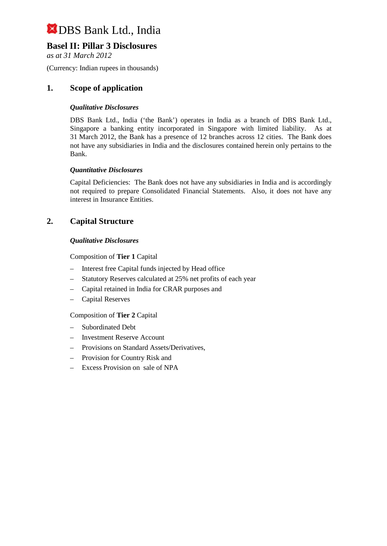# **Basel II: Pillar 3 Disclosures**

*as at 31 March 2012*

(Currency: Indian rupees in thousands)

## **1. Scope of application**

## *Qualitative Disclosures*

DBS Bank Ltd., India ('the Bank') operates in India as a branch of DBS Bank Ltd., Singapore a banking entity incorporated in Singapore with limited liability. As at 31 March 2012, the Bank has a presence of 12 branches across 12 cities. The Bank does not have any subsidiaries in India and the disclosures contained herein only pertains to the Bank.

#### *Quantitative Disclosures*

Capital Deficiencies: The Bank does not have any subsidiaries in India and is accordingly not required to prepare Consolidated Financial Statements. Also, it does not have any interest in Insurance Entities.

## **2. Capital Structure**

#### *Qualitative Disclosures*

Composition of **Tier 1** Capital

- Interest free Capital funds injected by Head office
- Statutory Reserves calculated at 25% net profits of each year
- Capital retained in India for CRAR purposes and
- Capital Reserves

Composition of **Tier 2** Capital

- Subordinated Debt
- Investment Reserve Account
- Provisions on Standard Assets/Derivatives,
- Provision for Country Risk and
- Excess Provision on sale of NPA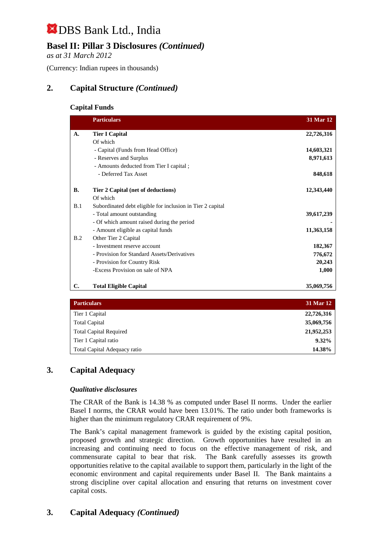# **Basel II: Pillar 3 Disclosures** *(Continued)*

*as at 31 March 2012*

(Currency: Indian rupees in thousands)

# **2. Capital Structure** *(Continued)*

### **Capital Funds**

|           | <b>Particulars</b>                                         | 31 Mar 12  |
|-----------|------------------------------------------------------------|------------|
| A.        | <b>Tier I Capital</b>                                      | 22,726,316 |
|           | Of which                                                   |            |
|           | - Capital (Funds from Head Office)                         | 14,603,321 |
|           | - Reserves and Surplus                                     | 8,971,613  |
|           | - Amounts deducted from Tier I capital;                    |            |
|           | - Deferred Tax Asset                                       | 848,618    |
| <b>B.</b> | Tier 2 Capital (net of deductions)                         | 12,343,440 |
|           | Of which                                                   |            |
| B.1       | Subordinated debt eligible for inclusion in Tier 2 capital |            |
|           | - Total amount outstanding                                 | 39,617,239 |
|           | - Of which amount raised during the period                 |            |
|           | - Amount eligible as capital funds                         | 11,363,158 |
| B.2       | Other Tier 2 Capital                                       |            |
|           | - Investment reserve account                               | 182,367    |
|           | - Provision for Standard Assets/Derivatives                | 776,672    |
|           | - Provision for Country Risk                               | 20,243     |
|           | -Excess Provision on sale of NPA                           | 1,000      |
| C.        | <b>Total Eligible Capital</b>                              | 35,069,756 |

| <b>Particulars</b>            | 31 Mar 12  |
|-------------------------------|------------|
| Tier 1 Capital                | 22,726,316 |
| <b>Total Capital</b>          | 35,069,756 |
| <b>Total Capital Required</b> | 21,952,253 |
| Tier 1 Capital ratio          | $9.32\%$   |
| Total Capital Adequacy ratio  | 14.38%     |

# **3. Capital Adequacy**

## *Qualitative disclosures*

The CRAR of the Bank is 14.38 % as computed under Basel II norms. Under the earlier Basel I norms, the CRAR would have been 13.01%. The ratio under both frameworks is higher than the minimum regulatory CRAR requirement of 9%.

The Bank's capital management framework is guided by the existing capital position, proposed growth and strategic direction. Growth opportunities have resulted in an increasing and continuing need to focus on the effective management of risk, and commensurate capital to bear that risk. The Bank carefully assesses its growth opportunities relative to the capital available to support them, particularly in the light of the economic environment and capital requirements under Basel II. The Bank maintains a strong discipline over capital allocation and ensuring that returns on investment cover capital costs.

# **3. Capital Adequacy** *(Continued)*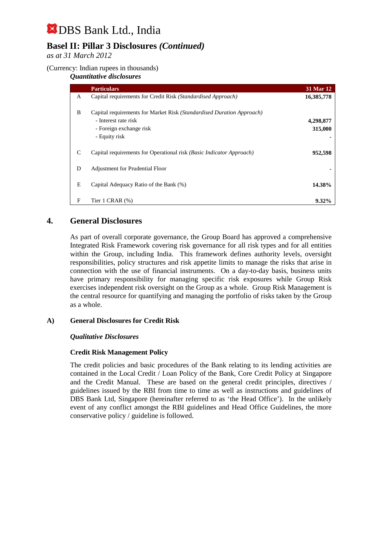# **Basel II: Pillar 3 Disclosures** *(Continued)*

*as at 31 March 2012*

## (Currency: Indian rupees in thousands)

### *Quantitative disclosures*

|   | <b>Particulars</b>                                                    | 31 Mar 12  |
|---|-----------------------------------------------------------------------|------------|
| A | Capital requirements for Credit Risk (Standardised Approach)          | 16,385,778 |
| B | Capital requirements for Market Risk (Standardised Duration Approach) |            |
|   | - Interest rate risk                                                  | 4,298,877  |
|   | - Foreign exchange risk                                               | 315,000    |
|   | - Equity risk                                                         |            |
| C | Capital requirements for Operational risk (Basic Indicator Approach)  | 952,598    |
| D | <b>Adjustment for Prudential Floor</b>                                |            |
| Ε | Capital Adequacy Ratio of the Bank (%)                                | 14.38%     |
| F | Tier 1 CRAR $(\%)$                                                    | $9.32\%$   |

## **4. General Disclosures**

As part of overall corporate governance, the Group Board has approved a comprehensive Integrated Risk Framework covering risk governance for all risk types and for all entities within the Group, including India. This framework defines authority levels, oversight responsibilities, policy structures and risk appetite limits to manage the risks that arise in connection with the use of financial instruments. On a day-to-day basis, business units have primary responsibility for managing specific risk exposures while Group Risk exercises independent risk oversight on the Group as a whole. Group Risk Management is the central resource for quantifying and managing the portfolio of risks taken by the Group as a whole.

## **A) General Disclosures for Credit Risk**

## *Qualitative Disclosures*

## **Credit Risk Management Policy**

The credit policies and basic procedures of the Bank relating to its lending activities are contained in the Local Credit / Loan Policy of the Bank, Core Credit Policy at Singapore and the Credit Manual. These are based on the general credit principles, directives / guidelines issued by the RBI from time to time as well as instructions and guidelines of DBS Bank Ltd, Singapore (hereinafter referred to as 'the Head Office'). In the unlikely event of any conflict amongst the RBI guidelines and Head Office Guidelines, the more conservative policy / guideline is followed.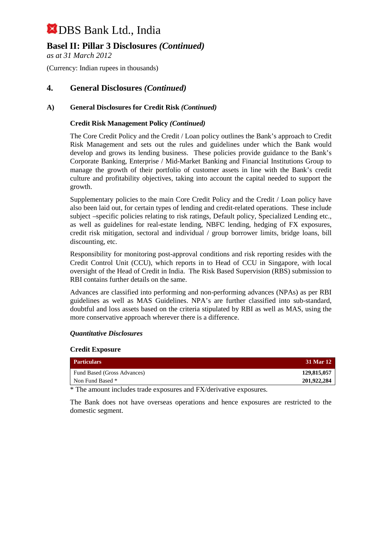# **Basel II: Pillar 3 Disclosures** *(Continued)*

*as at 31 March 2012*

(Currency: Indian rupees in thousands)

## **4. General Disclosures** *(Continued)*

## **A) General Disclosures for Credit Risk** *(Continued)*

### **Credit Risk Management Policy** *(Continued)*

The Core Credit Policy and the Credit / Loan policy outlines the Bank's approach to Credit Risk Management and sets out the rules and guidelines under which the Bank would develop and grows its lending business. These policies provide guidance to the Bank's Corporate Banking, Enterprise / Mid-Market Banking and Financial Institutions Group to manage the growth of their portfolio of customer assets in line with the Bank's credit culture and profitability objectives, taking into account the capital needed to support the growth.

Supplementary policies to the main Core Credit Policy and the Credit / Loan policy have also been laid out, for certain types of lending and credit-related operations. These include subject –specific policies relating to risk ratings, Default policy, Specialized Lending etc., as well as guidelines for real-estate lending, NBFC lending, hedging of FX exposures, credit risk mitigation, sectoral and individual / group borrower limits, bridge loans, bill discounting, etc.

Responsibility for monitoring post-approval conditions and risk reporting resides with the Credit Control Unit (CCU), which reports in to Head of CCU in Singapore, with local oversight of the Head of Credit in India. The Risk Based Supervision (RBS) submission to RBI contains further details on the same.

Advances are classified into performing and non-performing advances (NPAs) as per RBI guidelines as well as MAS Guidelines. NPA's are further classified into sub-standard, doubtful and loss assets based on the criteria stipulated by RBI as well as MAS, using the more conservative approach wherever there is a difference.

## *Quantitative Disclosures*

#### **Credit Exposure**

| <b>Particulars</b>          | 31 Mar 12   |
|-----------------------------|-------------|
| Fund Based (Gross Advances) | 129,815,057 |
| Non Fund Based *            | 201,922,284 |

\* The amount includes trade exposures and FX/derivative exposures.

The Bank does not have overseas operations and hence exposures are restricted to the domestic segment.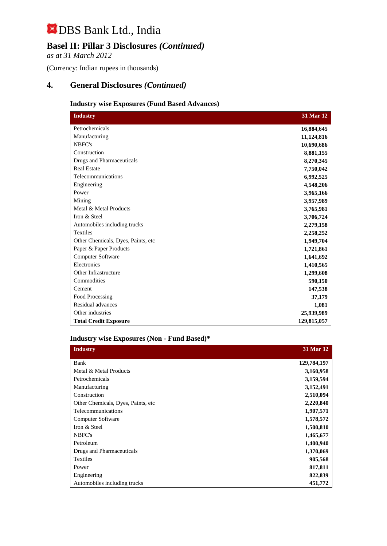# **Basel II: Pillar 3 Disclosures** *(Continued)*

*as at 31 March 2012*

(Currency: Indian rupees in thousands)

# **4. General Disclosures** *(Continued)*

## **Industry wise Exposures (Fund Based Advances)**

| <b>Industry</b>                    | 31 Mar 12   |
|------------------------------------|-------------|
| Petrochemicals                     | 16,884,645  |
| Manufacturing                      | 11,124,816  |
| NBFC's                             | 10,690,686  |
| Construction                       | 8,881,155   |
| Drugs and Pharmaceuticals          | 8,270,345   |
| <b>Real Estate</b>                 | 7,750,042   |
| Telecommunications                 | 6,992,525   |
| Engineering                        | 4,548,206   |
| Power                              | 3,965,166   |
| Mining                             | 3,957,989   |
| Metal & Metal Products             | 3,765,981   |
| Iron & Steel                       | 3,706,724   |
| Automobiles including trucks       | 2,279,158   |
| <b>Textiles</b>                    | 2,258,252   |
| Other Chemicals, Dyes, Paints, etc | 1,949,704   |
| Paper & Paper Products             | 1,721,861   |
| Computer Software                  | 1,641,692   |
| Electronics                        | 1,410,565   |
| Other Infrastructure               | 1,299,608   |
| Commodities                        | 590,150     |
| Cement                             | 147,538     |
| Food Processing                    | 37,179      |
| Residual advances                  | 1,081       |
| Other industries                   | 25,939,989  |
| <b>Total Credit Exposure</b>       | 129,815,057 |

#### **Industry wise Exposures (Non - Fund Based)\***

| <b>Industry</b>                     | 31 Mar 12   |
|-------------------------------------|-------------|
| Bank                                | 129,784,197 |
| Metal & Metal Products              | 3,160,958   |
| Petrochemicals                      | 3,159,594   |
| Manufacturing                       | 3,152,491   |
| Construction                        | 2,510,094   |
| Other Chemicals, Dyes, Paints, etc. | 2,220,840   |
| Telecommunications                  | 1,907,571   |
| Computer Software                   | 1,578,572   |
| Iron & Steel                        | 1,500,810   |
| NBFC's                              | 1,465,677   |
| Petroleum                           | 1,400,940   |
| Drugs and Pharmaceuticals           | 1,370,069   |
| <b>Textiles</b>                     | 905,568     |
| Power                               | 817,811     |
| Engineering                         | 822,839     |
| Automobiles including trucks        | 451,772     |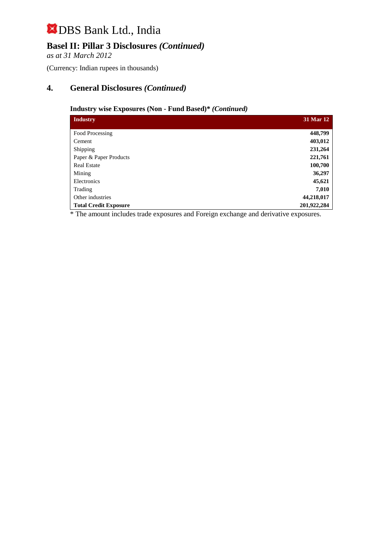# **Basel II: Pillar 3 Disclosures** *(Continued)*

*as at 31 March 2012*

(Currency: Indian rupees in thousands)

# **4. General Disclosures** *(Continued)*

## **Industry wise Exposures (Non - Fund Based)\*** *(Continued)*

| <b>Industry</b>              | 31 Mar 12   |
|------------------------------|-------------|
|                              |             |
| Food Processing              | 448,799     |
| Cement                       | 403,012     |
| Shipping                     | 231,264     |
| Paper & Paper Products       | 221,761     |
| <b>Real Estate</b>           | 100,700     |
| Mining                       | 36,297      |
| Electronics                  | 45,621      |
| Trading                      | 7,010       |
| Other industries             | 44,218,017  |
| <b>Total Credit Exposure</b> | 201,922,284 |

\* The amount includes trade exposures and Foreign exchange and derivative exposures.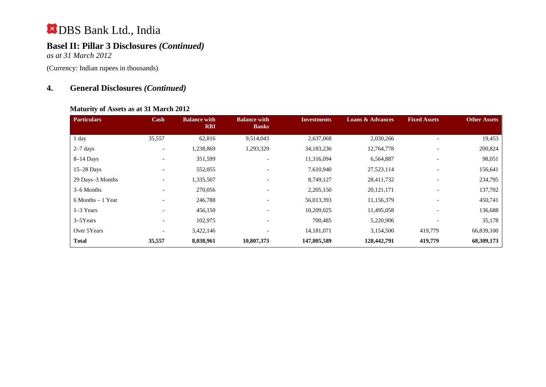# **Basel II: Pillar 3 Disclosures** *(Continued)*

*as at 31 March 2012*

(Currency: Indian rupees in thousands)

# **4. General Disclosures** *(Continued)*

#### **Maturity of Assets as at 31 March 2012**

| <b>Particulars</b>   | Cash                         | <b>Balance with</b><br><b>RBI</b> | <b>Balance with</b><br><b>Banks</b> | <b>Investments</b> | <b>Loans &amp; Advances</b> | <b>Fixed Assets</b>      | <b>Other Assets</b> |
|----------------------|------------------------------|-----------------------------------|-------------------------------------|--------------------|-----------------------------|--------------------------|---------------------|
|                      |                              |                                   |                                     |                    |                             |                          |                     |
| 1 day                | 35,557                       | 62,816                            | 9,514,043                           | 2,637,068          | 2,030,266                   |                          | 19,453              |
| $2-7$ days           | $\qquad \qquad \blacksquare$ | 1,238,869                         | 1,293,329                           | 34,183,236         | 12,764,778                  |                          | 200,824             |
| $8-14$ Days          | $\qquad \qquad \blacksquare$ | 351,599                           | $\overline{\phantom{a}}$            | 11,316,094         | 6,564,887                   | $\overline{\phantom{a}}$ | 98,051              |
| $15-28$ Days         | $\qquad \qquad \blacksquare$ | 552,055                           |                                     | 7,610,940          | 27,523,114                  | $\overline{\phantom{a}}$ | 156,641             |
| 29 Days-3 Months     | $\qquad \qquad \blacksquare$ | 1,335,507                         |                                     | 8,749,127          | 28,411,732                  |                          | 234,795             |
| 3–6 Months           | $\overline{\phantom{a}}$     | 270,056                           | $\qquad \qquad$                     | 2,205,150          | 20, 121, 171                |                          | 137,702             |
| $6$ Months $-1$ Year | $\qquad \qquad \blacksquare$ | 246,788                           | $\overline{\phantom{a}}$            | 56,013,393         | 11,156,379                  | $\overline{\phantom{0}}$ | 450,741             |
| $1-3$ Years          | $\overline{\phantom{a}}$     | 456,150                           | $\overline{\phantom{a}}$            | 10,209,025         | 11,495,058                  | $\overline{\phantom{0}}$ | 136,688             |
| $3-5$ Years          | $\overline{\phantom{0}}$     | 102,975                           | $\overline{\phantom{a}}$            | 700,485            | 5,220,906                   | $\overline{\phantom{0}}$ | 35,178              |
| Over 5Years          | $\overline{\phantom{0}}$     | 3,422,146                         |                                     | 14,181,071         | 3,154,500                   | 419,779                  | 66,839,100          |
| <b>Total</b>         | 35,557                       | 8,038,961                         | 10,807,373                          | 147,805,589        | 128,442,791                 | 419,779                  | 68,309,173          |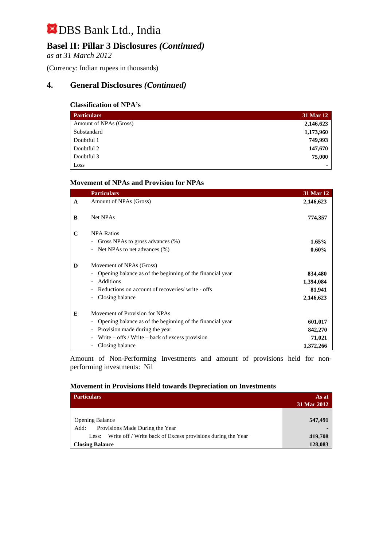# **Basel II: Pillar 3 Disclosures** *(Continued)*

*as at 31 March 2012*

(Currency: Indian rupees in thousands)

## **4. General Disclosures** *(Continued)*

## **Classification of NPA's**

| <b>Particulars</b>     | 31 Mar 12 |
|------------------------|-----------|
| Amount of NPAs (Gross) | 2,146,623 |
| Substandard            | 1,173,960 |
| Doubtful 1             | 749,993   |
| Doubtful 2             | 147,670   |
| Doubtful 3             | 75,000    |
| Loss                   | ۰         |

#### **Movement of NPAs and Provision for NPAs**

|              | <b>Particulars</b>                                                              | 31 Mar 12 |
|--------------|---------------------------------------------------------------------------------|-----------|
| $\mathbf{A}$ | Amount of NPAs (Gross)                                                          | 2,146,623 |
|              |                                                                                 |           |
| B            | Net NPAs                                                                        | 774,357   |
|              |                                                                                 |           |
| $\mathbf C$  | <b>NPA Ratios</b>                                                               |           |
|              | Gross NPAs to gross advances (%)                                                | $1.65\%$  |
|              | Net NPAs to net advances (%)                                                    | $0.60\%$  |
| D            | Movement of NPAs (Gross)                                                        |           |
|              | Opening balance as of the beginning of the financial year                       | 834,480   |
|              | <b>Additions</b>                                                                | 1,394,084 |
|              | Reductions on account of recoveries/write - offs                                | 81,941    |
|              | Closing balance                                                                 | 2,146,623 |
| E            | Movement of Provision for NPAs                                                  |           |
|              | Opening balance as of the beginning of the financial year                       | 601,017   |
|              | Provision made during the year<br>$\overline{\phantom{0}}$                      | 842,270   |
|              | Write $-$ offs / Write $-$ back of excess provision<br>$\overline{\phantom{0}}$ | 71,021    |
|              | Closing balance                                                                 | 1,372,266 |

Amount of Non-Performing Investments and amount of provisions held for nonperforming investments:Nil

#### **Movement in Provisions Held towards Depreciation on Investments**

| <b>Particulars</b>                                                | As at<br>31 Mar 2012 |
|-------------------------------------------------------------------|----------------------|
| <b>Opening Balance</b><br>Provisions Made During the Year<br>Add: | 547,491              |
| Less: Write off / Write back of Excess provisions during the Year | 419,708              |
| <b>Closing Balance</b>                                            | 128,083              |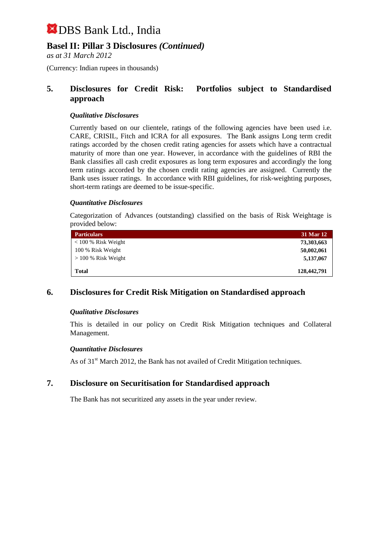## **Basel II: Pillar 3 Disclosures** *(Continued)*

*as at 31 March 2012*

(Currency: Indian rupees in thousands)

## **5. Disclosures for Credit Risk: Portfolios subject to Standardised approach**

### *Qualitative Disclosures*

Currently based on our clientele, ratings of the following agencies have been used i.e. CARE, CRISIL, Fitch and ICRA for all exposures. The Bank assigns Long term credit ratings accorded by the chosen credit rating agencies for assets which have a contractual maturity of more than one year. However, in accordance with the guidelines of RBI the Bank classifies all cash credit exposures as long term exposures and accordingly the long term ratings accorded by the chosen credit rating agencies are assigned. Currently the Bank uses issuer ratings. In accordance with RBI guidelines, for risk-weighting purposes, short-term ratings are deemed to be issue-specific.

## *Quantitative Disclosures*

Categorization of Advances (outstanding) classified on the basis of Risk Weightage is provided below:

| <b>Particulars</b>    | 31 Mar 12   |
|-----------------------|-------------|
| $<$ 100 % Risk Weight | 73,303,663  |
| 100 % Risk Weight     | 50,002,061  |
| $> 100\%$ Risk Weight | 5,137,067   |
| Total                 | 128,442,791 |

## **6. Disclosures for Credit Risk Mitigation on Standardised approach**

#### *Qualitative Disclosures*

This is detailed in our policy on Credit Risk Mitigation techniques and Collateral Management.

#### *Quantitative Disclosures*

As of 31<sup>st</sup> March 2012, the Bank has not availed of Credit Mitigation techniques.

## **7. Disclosure on Securitisation for Standardised approach**

The Bank has not securitized any assets in the year under review.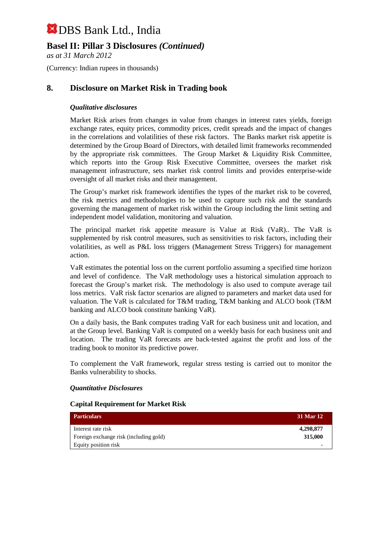# **Basel II: Pillar 3 Disclosures** *(Continued)*

*as at 31 March 2012*

(Currency: Indian rupees in thousands)

# **8. Disclosure on Market Risk in Trading book**

## *Qualitative disclosures*

Market Risk arises from changes in value from changes in interest rates yields, foreign exchange rates, equity prices, commodity prices, credit spreads and the impact of changes in the correlations and volatilities of these risk factors. The Banks market risk appetite is determined by the Group Board of Directors, with detailed limit frameworks recommended by the appropriate risk committees. The Group Market & Liquidity Risk Committee, which reports into the Group Risk Executive Committee, oversees the market risk management infrastructure, sets market risk control limits and provides enterprise-wide oversight of all market risks and their management.

The Group's market risk framework identifies the types of the market risk to be covered, the risk metrics and methodologies to be used to capture such risk and the standards governing the management of market risk within the Group including the limit setting and independent model validation, monitoring and valuation.

The principal market risk appetite measure is Value at Risk (VaR).. The VaR is supplemented by risk control measures, such as sensitivities to risk factors, including their volatilities, as well as P&L loss triggers (Management Stress Triggers) for management action.

VaR estimates the potential loss on the current portfolio assuming a specified time horizon and level of confidence. The VaR methodology uses a historical simulation approach to forecast the Group's market risk. The methodology is also used to compute average tail loss metrics. VaR risk factor scenarios are aligned to parameters and market data used for valuation. The VaR is calculated for T&M trading, T&M banking and ALCO book (T&M banking and ALCO book constitute banking VaR).

On a daily basis, the Bank computes trading VaR for each business unit and location, and at the Group level. Banking VaR is computed on a weekly basis for each business unit and location. The trading VaR forecasts are back-tested against the profit and loss of the trading book to monitor its predictive power.

To complement the VaR framework, regular stress testing is carried out to monitor the Banks vulnerability to shocks.

#### *Quantitative Disclosures*

#### **Capital Requirement for Market Risk**

| <b>Particulars</b>                     | 31 Mar 12 |
|----------------------------------------|-----------|
| Interest rate risk                     | 4,298,877 |
| Foreign exchange risk (including gold) | 315,000   |
| Equity position risk                   |           |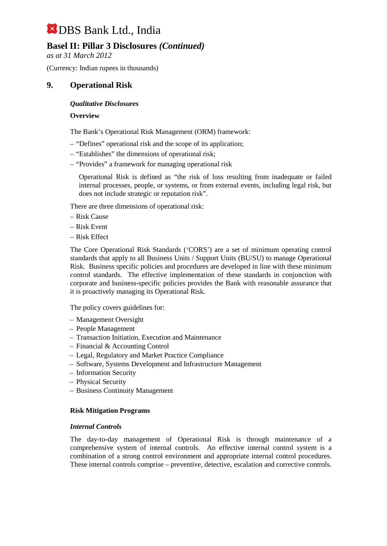# **Basel II: Pillar 3 Disclosures** *(Continued)*

*as at 31 March 2012*

(Currency: Indian rupees in thousands)

## **9. Operational Risk**

### *Qualitative Disclosures*

### **Overview**

The Bank's Operational Risk Management (ORM) framework:

- "Defines" operational risk and the scope of its application;
- "Establishes" the dimensions of operational risk;
- "Provides" a framework for managing operational risk

Operational Risk is defined as "the risk of loss resulting from inadequate or failed internal processes, people, or systems, or from external events, including legal risk, but does not include strategic or reputation risk".

There are three dimensions of operational risk:

- Risk Cause
- Risk Event
- Risk Effect

The Core Operational Risk Standards ('CORS') are a set of minimum operating control standards that apply to all Business Units / Support Units (BU/SU) to manage Operational Risk. Business specific policies and procedures are developed in line with these minimum control standards. The effective implementation of these standards in conjunction with corporate and business-specific policies provides the Bank with reasonable assurance that it is proactively managing its Operational Risk.

The policy covers guidelines for:

- Management Oversight
- People Management
- Transaction Initiation, Execution and Maintenance
- Financial & Accounting Control
- Legal, Regulatory and Market Practice Compliance
- Software, Systems Development and Infrastructure Management
- Information Security
- Physical Security
- Business Continuity Management

#### **Risk Mitigation Programs**

#### *Internal Controls*

The day-to-day management of Operational Risk is through maintenance of a comprehensive system of internal controls. An effective internal control system is a combination of a strong control environment and appropriate internal control procedures. These internal controls comprise – preventive, detective, escalation and corrective controls.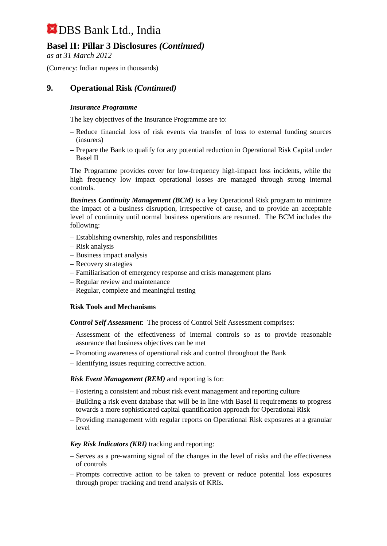# **Basel II: Pillar 3 Disclosures** *(Continued)*

*as at 31 March 2012*

(Currency: Indian rupees in thousands)

# **9. Operational Risk** *(Continued)*

## *Insurance Programme*

The key objectives of the Insurance Programme are to:

- Reduce financial loss of risk events via transfer of loss to external funding sources (insurers)
- Prepare the Bank to qualify for any potential reduction in Operational Risk Capital under Basel II

The Programme provides cover for low-frequency high-impact loss incidents, while the high frequency low impact operational losses are managed through strong internal controls.

*Business Continuity Management (BCM)* is a key Operational Risk program to minimize the impact of a business disruption, irrespective of cause, and to provide an acceptable level of continuity until normal business operations are resumed. The BCM includes the following:

- Establishing ownership, roles and responsibilities
- Risk analysis
- Business impact analysis
- Recovery strategies
- Familiarisation of emergency response and crisis management plans
- Regular review and maintenance
- Regular, complete and meaningful testing

## **Risk Tools and Mechanisms**

*Control Self Assessment*: The process of Control Self Assessment comprises:

- Assessment of the effectiveness of internal controls so as to provide reasonable assurance that business objectives can be met
- Promoting awareness of operational risk and control throughout the Bank
- Identifying issues requiring corrective action.

## *Risk Event Management (REM)* and reporting is for:

- Fostering a consistent and robust risk event management and reporting culture
- Building a risk event database that will be in line with Basel II requirements to progress towards a more sophisticated capital quantification approach for Operational Risk
- Providing management with regular reports on Operational Risk exposures at a granular level

## *Key Risk Indicators (KRI)* tracking and reporting:

- Serves as a pre-warning signal of the changes in the level of risks and the effectiveness of controls
- Prompts corrective action to be taken to prevent or reduce potential loss exposures through proper tracking and trend analysis of KRIs.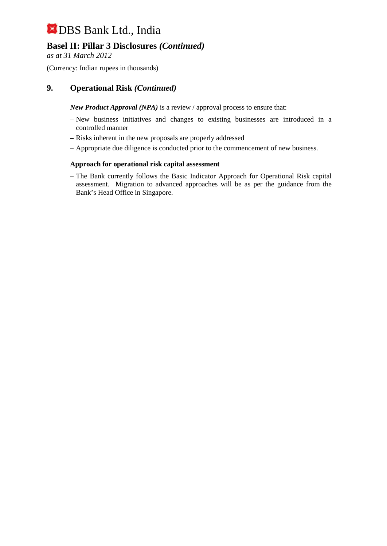# **Basel II: Pillar 3 Disclosures** *(Continued)*

*as at 31 March 2012*

(Currency: Indian rupees in thousands)

# **9. Operational Risk** *(Continued)*

*New Product Approval (NPA)* is a review / approval process to ensure that:

- New business initiatives and changes to existing businesses are introduced in a controlled manner
- Risks inherent in the new proposals are properly addressed
- Appropriate due diligence is conducted prior to the commencement of new business.

## **Approach for operational risk capital assessment**

– The Bank currently follows the Basic Indicator Approach for Operational Risk capital assessment. Migration to advanced approaches will be as per the guidance from the Bank's Head Office in Singapore.